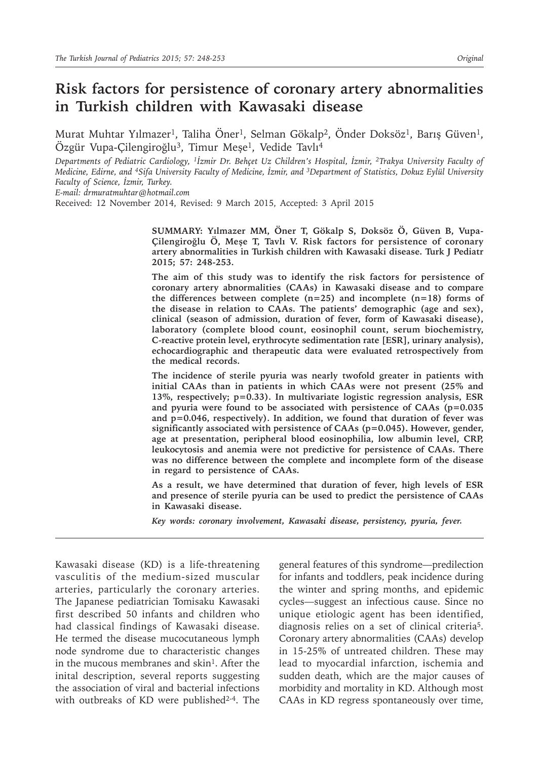# **Risk factors for persistence of coronary artery abnormalities in Turkish children with Kawasaki disease**

Murat Muhtar Yılmazer<sup>1</sup>, Taliha Öner<sup>1</sup>, Selman Gökalp<sup>2</sup>, Önder Doksöz<sup>1</sup>, Barış Güven<sup>1</sup>, Özgür Vupa-Çilengiroğlu<sup>3</sup>, Timur Meşe<sup>1</sup>, Vedide Tavlı<sup>4</sup>

*Departments of Pediatric Cardiology, 1İzmir Dr. Behçet Uz Children's Hospital, İzmir, 2Trakya University Faculty of Medicine, Edirne, and 4Sifa University Faculty of Medicine, İzmir, and 3Department of Statistics, Dokuz Eylül University Faculty of Science, İzmir, Turkey.*

*E-mail: drmuratmuhtar@hotmail.com*

Received: 12 November 2014, Revised: 9 March 2015, Accepted: 3 April 2015

**SUMMARY: Yılmazer MM, Öner T, Gökalp S, Doksöz Ö, Güven B, Vupa-Çilengiroğlu Ö, Meşe T, Tavlı V. Risk factors for persistence of coronary artery abnormalities in Turkish children with Kawasaki disease. Turk J Pediatr 2015; 57: 248-253.**

**The aim of this study was to identify the risk factors for persistence of coronary artery abnormalities (CAAs) in Kawasaki disease and to compare the differences between complete (n=25) and incomplete (n=18) forms of the disease in relation to CAAs. The patients' demographic (age and sex), clinical (season of admission, duration of fever, form of Kawasaki disease), laboratory (complete blood count, eosinophil count, serum biochemistry, C-reactive protein level, erythrocyte sedimentation rate [ESR], urinary analysis), echocardiographic and therapeutic data were evaluated retrospectively from the medical records.** 

**The incidence of sterile pyuria was nearly twofold greater in patients with initial CAAs than in patients in which CAAs were not present (25% and 13%, respectively; p=0.33). In multivariate logistic regression analysis, ESR and pyuria were found to be associated with persistence of CAAs (p=0.035 and p=0.046, respectively). In addition, we found that duration of fever was significantly associated with persistence of CAAs (p=0.045). However, gender, age at presentation, peripheral blood eosinophilia, low albumin level, CRP, leukocytosis and anemia were not predictive for persistence of CAAs. There was no difference between the complete and incomplete form of the disease in regard to persistence of CAAs.**

**As a result, we have determined that duration of fever, high levels of ESR and presence of sterile pyuria can be used to predict the persistence of CAAs in Kawasaki disease.**

*Key words: coronary involvement, Kawasaki disease, persistency, pyuria, fever.*

Kawasaki disease (KD) is a life-threatening vasculitis of the medium-sized muscular arteries, particularly the coronary arteries. The Japanese pediatrician Tomisaku Kawasaki first described 50 infants and children who had classical findings of Kawasaki disease. He termed the disease mucocutaneous lymph node syndrome due to characteristic changes in the mucous membranes and skin<sup>1</sup>. After the inital description, several reports suggesting the association of viral and bacterial infections with outbreaks of KD were published<sup>2-4</sup>. The

general features of this syndrome—predilection for infants and toddlers, peak incidence during the winter and spring months, and epidemic cycles—suggest an infectious cause. Since no unique etiologic agent has been identified, diagnosis relies on a set of clinical criteria5. Coronary artery abnormalities (CAAs) develop in 15-25% of untreated children. These may lead to myocardial infarction, ischemia and sudden death, which are the major causes of morbidity and mortality in KD. Although most CAAs in KD regress spontaneously over time,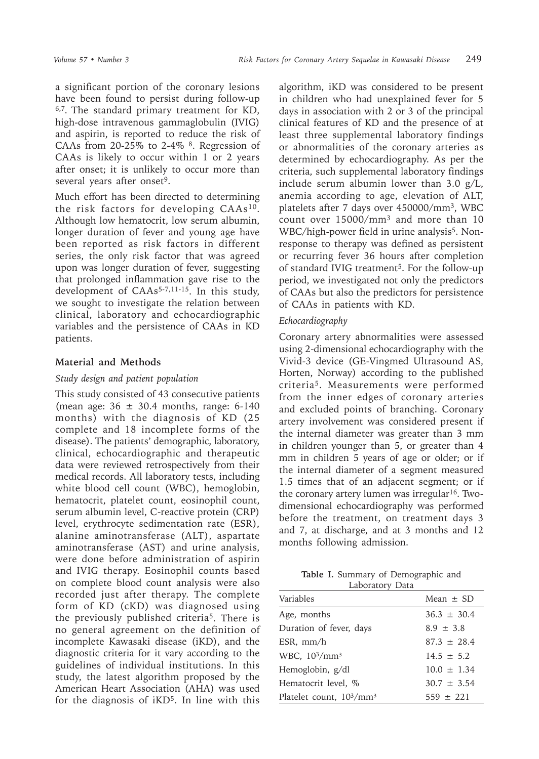a significant portion of the coronary lesions have been found to persist during follow-up 6,7*.* The standard primary treatment for KD, high-dose intravenous gammaglobulin (IVIG) and aspirin, is reported to reduce the risk of CAAs from 20-25% to 2-4%  $8$ . Regression of CAAs is likely to occur within 1 or 2 years after onset; it is unlikely to occur more than several years after onset<sup>9</sup>.

Much effort has been directed to determining the risk factors for developing  $CAAs^{10}$ . Although low hematocrit, low serum albumin, longer duration of fever and young age have been reported as risk factors in different series, the only risk factor that was agreed upon was longer duration of fever, suggesting that prolonged inflammation gave rise to the development of CAAs<sup>5-7,11-15</sup>. In this study, we sought to investigate the relation between clinical, laboratory and echocardiographic variables and the persistence of CAAs in KD patients.

## **Material and Methods**

### *Study design and patient population*

This study consisted of 43 consecutive patients (mean age:  $36 \pm 30.4$  months, range: 6-140 months) with the diagnosis of KD (25 complete and 18 incomplete forms of the disease). The patients' demographic, laboratory, clinical, echocardiographic and therapeutic data were reviewed retrospectively from their medical records. All laboratory tests, including white blood cell count (WBC), hemoglobin, hematocrit, platelet count, eosinophil count, serum albumin level, C-reactive protein (CRP) level, erythrocyte sedimentation rate (ESR), alanine aminotransferase (ALT), aspartate aminotransferase (AST) and urine analysis, were done before administration of aspirin and IVIG therapy. Eosinophil counts based on complete blood count analysis were also recorded just after therapy. The complete form of KD (cKD) was diagnosed using the previously published criteria5. There is no general agreement on the definition of incomplete Kawasaki disease (iKD), and the diagnostic criteria for it vary according to the guidelines of individual institutions. In this study, the latest algorithm proposed by the American Heart Association (AHA) was used for the diagnosis of iKD<sup>5</sup>. In line with this

algorithm, iKD was considered to be present in children who had unexplained fever for 5 days in association with 2 or 3 of the principal clinical features of KD and the presence of at least three supplemental laboratory findings or abnormalities of the coronary arteries as determined by echocardiography. As per the criteria, such supplemental laboratory findings include serum albumin lower than 3.0 g/L, anemia according to age, elevation of ALT, platelets after 7 days over 450000/mm<sup>3</sup>, WBC count over 15000/mm<sup>3</sup> and more than 10 WBC/high-power field in urine analysis<sup>5</sup>. Nonresponse to therapy was defined as persistent or recurring fever 36 hours after completion of standard IVIG treatment<sup>5</sup>. For the follow-up period, we investigated not only the predictors of CAAs but also the predictors for persistence of CAAs in patients with KD.

## *Echocardiography*

Coronary artery abnormalities were assessed using 2-dimensional echocardiography with the Vivid-3 device (GE-Vingmed Ultrasound AS, Horten, Norway) according to the published criteria<sup>5</sup>. Measurements were performed from the inner edges of coronary arteries and excluded points of branching. Coronary artery involvement was considered present if the internal diameter was greater than 3 mm in children younger than 5, or greater than 4 mm in children 5 years of age or older; or if the internal diameter of a segment measured 1.5 times that of an adjacent segment; or if the coronary artery lumen was irregular<sup>16</sup>. Twodimensional echocardiography was performed before the treatment, on treatment days 3 and 7, at discharge, and at 3 months and 12 months following admission.

**Table I.** Summary of Demographic and Laboratory Data

| Laboratory Data                    |                 |  |  |  |
|------------------------------------|-----------------|--|--|--|
| Variables                          | Mean $\pm$ SD   |  |  |  |
| Age, months                        | $36.3 \pm 30.4$ |  |  |  |
| Duration of fever, days            | $8.9 + 3.8$     |  |  |  |
| $ESR$ , mm/h                       | $87.3 + 28.4$   |  |  |  |
| WBC, $10^3/\text{mm}^3$            | $14.5 \pm 5.2$  |  |  |  |
| Hemoglobin, g/dl                   | $10.0 \pm 1.34$ |  |  |  |
| Hematocrit level, %                | $30.7 \pm 3.54$ |  |  |  |
| Platelet count, $10^3/\text{mm}^3$ | $559 \pm 221$   |  |  |  |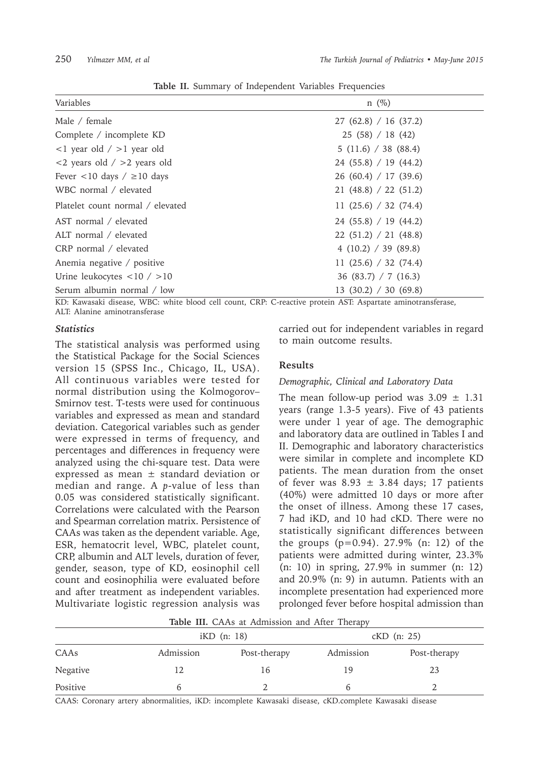| Variables                                           | $n \ (\%)$              |
|-----------------------------------------------------|-------------------------|
| Male / female                                       | 27(62.8) / 16(37.2)     |
| Complete / incomplete KD                            | 25(58)/18(42)           |
| $\langle$ 1 year old / >1 year old                  | 5(11.6) / 38(88.4)      |
| $\langle$ <2 years old / >2 years old               | 24(55.8)/19(44.2)       |
| Fever $\langle 10 \text{ days} / \rangle$ = 10 days | 26(60.4)/17(39.6)       |
| WBC normal / elevated                               | 21(48.8) / 22(51.2)     |
| Platelet count normal / elevated                    | 11 $(25.6) / 32 (74.4)$ |
| AST normal / elevated                               | 24(55.8)/19(44.2)       |
| ALT normal / elevated                               | 22(51.2) / 21(48.8)     |
| CRP normal / elevated                               | 4(10.2) / 39(89.8)      |
| Anemia negative / positive                          | 11 $(25.6) / 32 (74.4)$ |
| Urine leukocytes $\langle 10 / 10 \rangle$          | 36 (83.7) $/ 7$ (16.3)  |
| Serum albumin normal / low                          | 13(30.2) / 30(69.8)     |

**Table II.** Summary of Independent Variables Frequencies

KD: Kawasaki disease, WBC: white blood cell count, CRP: C-reactive protein AST: Aspartate aminotransferase, ALT: Alanine aminotransferase

#### *Statistics*

The statistical analysis was performed using the Statistical Package for the Social Sciences version 15 (SPSS Inc., Chicago, IL, USA). All continuous variables were tested for normal distribution using the Kolmogorov– Smirnov test. T-tests were used for continuous variables and expressed as mean and standard deviation. Categorical variables such as gender were expressed in terms of frequency, and percentages and differences in frequency were analyzed using the chi-square test. Data were expressed as mean  $\pm$  standard deviation or median and range. A *p*-value of less than 0.05 was considered statistically significant. Correlations were calculated with the Pearson and Spearman correlation matrix. Persistence of CAAs was taken as the dependent variable. Age, ESR, hematocrit level, WBC, platelet count, CRP, albumin and ALT levels, duration of fever, gender, season, type of KD, eosinophil cell count and eosinophilia were evaluated before and after treatment as independent variables. Multivariate logistic regression analysis was

carried out for independent variables in regard to main outcome results.

### **Results**

#### *Demographic, Clinical and Laboratory Data*

The mean follow-up period was  $3.09 \pm 1.31$ years (range 1.3-5 years). Five of 43 patients were under 1 year of age. The demographic and laboratory data are outlined in Tables I and II. Demographic and laboratory characteristics were similar in complete and incomplete KD patients. The mean duration from the onset of fever was  $8.93 \pm 3.84$  days; 17 patients (40%) were admitted 10 days or more after the onset of illness. Among these 17 cases, 7 had iKD, and 10 had cKD. There were no statistically significant differences between the groups (p=0.94). 27.9% (n: 12) of the patients were admitted during winter, 23.3% (n: 10) in spring, 27.9% in summer (n: 12) and 20.9% (n: 9) in autumn. Patients with an incomplete presentation had experienced more prolonged fever before hospital admission than

**Table III.** CAAs at Admission and After Therapy

|          |           | $KD$ (n: 18) |           | $K$ D $(n: 25)$ |  |  |
|----------|-----------|--------------|-----------|-----------------|--|--|
| CAAs     | Admission | Post-therapy | Admission | Post-therapy    |  |  |
| Negative |           | 16           | 19        | 23              |  |  |
| Positive |           |              |           |                 |  |  |

CAAS: Coronary artery abnormalities, iKD: incomplete Kawasaki disease, cKD.complete Kawasaki disease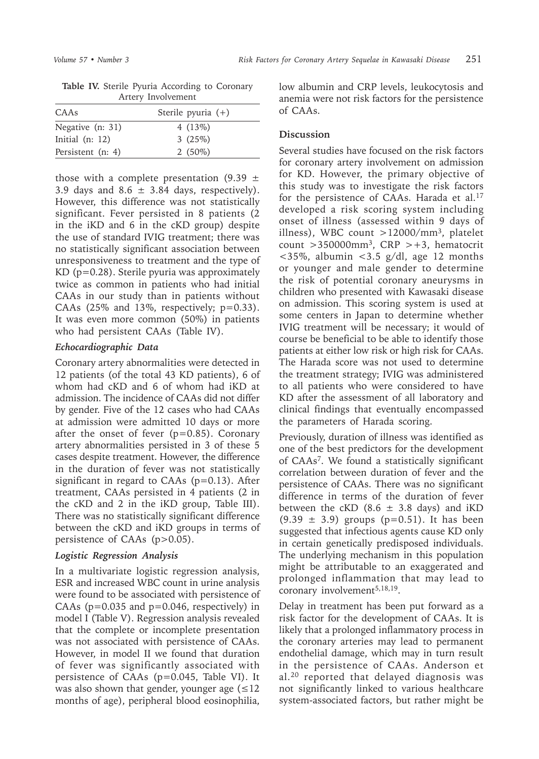| <i>THERE</i> , <i>HIVOIVEHIEHE</i> |                      |  |  |
|------------------------------------|----------------------|--|--|
| CAAs                               | Sterile pyuria $(+)$ |  |  |
| Negative (n: 31)                   | 4 $(13%)$            |  |  |
| Initial $(n: 12)$                  | 3(25%)               |  |  |
| Persistent (n: 4)                  | $2(50\%)$            |  |  |

**Table IV.** Sterile Pyuria According to Coronary Artery Involvement

those with a complete presentation (9.39  $\pm$ 3.9 days and  $8.6 \pm 3.84$  days, respectively). However, this difference was not statistically significant. Fever persisted in 8 patients (2 in the iKD and 6 in the cKD group) despite the use of standard IVIG treatment; there was no statistically significant association between unresponsiveness to treatment and the type of KD (p=0.28). Sterile pyuria was approximately twice as common in patients who had initial CAAs in our study than in patients without CAAs  $(25\%$  and 13%, respectively;  $p=0.33$ ). It was even more common (50%) in patients who had persistent CAAs (Table IV).

### *Echocardiographic Data*

Coronary artery abnormalities were detected in 12 patients (of the total 43 KD patients), 6 of whom had cKD and 6 of whom had iKD at admission. The incidence of CAAs did not differ by gender. Five of the 12 cases who had CAAs at admission were admitted 10 days or more after the onset of fever  $(p=0.85)$ . Coronary artery abnormalities persisted in 3 of these 5 cases despite treatment. However, the difference in the duration of fever was not statistically significant in regard to CAAs  $(p=0.13)$ . After treatment, CAAs persisted in 4 patients (2 in the cKD and 2 in the iKD group, Table III). There was no statistically significant difference between the cKD and iKD groups in terms of persistence of CAAs (p>0.05).

## *Logistic Regression Analysis*

In a multivariate logistic regression analysis, ESR and increased WBC count in urine analysis were found to be associated with persistence of CAAs ( $p=0.035$  and  $p=0.046$ , respectively) in model I (Table V). Regression analysis revealed that the complete or incomplete presentation was not associated with persistence of CAAs. However, in model II we found that duration of fever was significantly associated with persistence of CAAs (p=0.045, Table VI). It was also shown that gender, younger age  $(\leq 12)$ months of age), peripheral blood eosinophilia,

low albumin and CRP levels, leukocytosis and anemia were not risk factors for the persistence of CAAs.

# **Discussion**

Several studies have focused on the risk factors for coronary artery involvement on admission for KD. However, the primary objective of this study was to investigate the risk factors for the persistence of CAAs. Harada et al.<sup>17</sup> developed a risk scoring system including onset of illness (assessed within 9 days of illness), WBC count >12000/mm3, platelet count  $>350000$ mm<sup>3</sup>, CRP  $> +3$ , hematocrit  $<$ 35%, albumin  $<$ 3.5 g/dl, age 12 months or younger and male gender to determine the risk of potential coronary aneurysms in children who presented with Kawasaki disease on admission. This scoring system is used at some centers in Japan to determine whether IVIG treatment will be necessary; it would of course be beneficial to be able to identify those patients at either low risk or high risk for CAAs. The Harada score was not used to determine the treatment strategy; IVIG was administered to all patients who were considered to have KD after the assessment of all laboratory and clinical findings that eventually encompassed the parameters of Harada scoring.

Previously, duration of illness was identified as one of the best predictors for the development of CAAs7. We found a statistically significant correlation between duration of fever and the persistence of CAAs. There was no significant difference in terms of the duration of fever between the cKD (8.6  $\pm$  3.8 days) and iKD  $(9.39 \pm 3.9)$  groups  $(p=0.51)$ . It has been suggested that infectious agents cause KD only in certain genetically predisposed individuals. The underlying mechanism in this population might be attributable to an exaggerated and prolonged inflammation that may lead to coronary involvement<sup>5,18,19</sup>.

Delay in treatment has been put forward as a risk factor for the development of CAAs. It is likely that a prolonged inflammatory process in the coronary arteries may lead to permanent endothelial damage, which may in turn result in the persistence of CAAs. Anderson et al.20 reported that delayed diagnosis was not significantly linked to various healthcare system-associated factors, but rather might be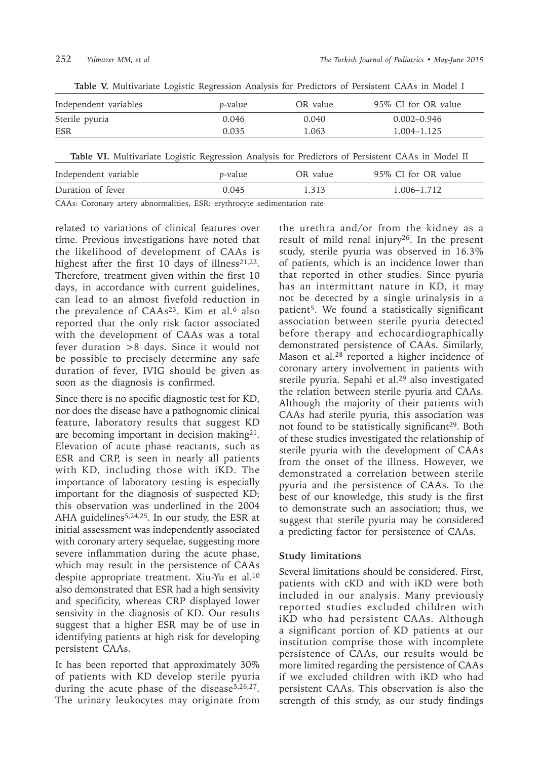| Independent variables | <i>p</i> -value | OR value | 95% CI for OR value                                                                               |
|-----------------------|-----------------|----------|---------------------------------------------------------------------------------------------------|
| Sterile pyuria        | 0.046           | 0.040    | $0.002 - 0.946$                                                                                   |
| ESR                   | 0.035           | 1.063    | 1.004-1.125                                                                                       |
|                       |                 |          | Table VI. Multivariate Logistic Regression Analysis for Predictors of Persistent CAAs in Model II |
| Independent variable  | <i>p</i> -value | OR value | 95% CI for OR value                                                                               |
| Duration of fever     | 0.045           | 1.313    | 1.006-1.712                                                                                       |

**Table V.** Multivariate Logistic Regression Analysis for Predictors of Persistent CAAs in Model I

CAAs: Coronary artery abnormalities, ESR: erythrocyte sedimentation rate

related to variations of clinical features over time. Previous investigations have noted that the likelihood of development of CAAs is highest after the first 10 days of illness $21,22$ . Therefore, treatment given within the first 10 days, in accordance with current guidelines, can lead to an almost fivefold reduction in the prevalence of  $CAAs^{23}$ . Kim et al.<sup>6</sup> also reported that the only risk factor associated with the development of CAAs was a total fever duration >8 days. Since it would not be possible to precisely determine any safe duration of fever, IVIG should be given as soon as the diagnosis is confirmed.

Since there is no specific diagnostic test for KD, nor does the disease have a pathognomic clinical feature, laboratory results that suggest KD are becoming important in decision making<sup>21</sup>. Elevation of acute phase reactants, such as ESR and CRP, is seen in nearly all patients with KD, including those with iKD. The importance of laboratory testing is especially important for the diagnosis of suspected KD; this observation was underlined in the 2004 AHA guidelines<sup>5,24,25</sup>. In our study, the ESR at initial assessment was independently associated with coronary artery sequelae, suggesting more severe inflammation during the acute phase, which may result in the persistence of CAAs despite appropriate treatment. Xiu-Yu et al.<sup>10</sup> also demonstrated that ESR had a high sensivity and specificity, whereas CRP displayed lower sensivity in the diagnosis of KD. Our results suggest that a higher ESR may be of use in identifying patients at high risk for developing persistent CAAs.

It has been reported that approximately 30% of patients with KD develop sterile pyuria during the acute phase of the disease<sup>5,26,27</sup>. The urinary leukocytes may originate from the urethra and/or from the kidney as a result of mild renal injury26. In the present study, sterile pyuria was observed in 16.3% of patients, which is an incidence lower than that reported in other studies. Since pyuria has an intermittant nature in KD, it may not be detected by a single urinalysis in a patient5. We found a statistically significant association between sterile pyuria detected before therapy and echocardiographically demonstrated persistence of CAAs. Similarly, Mason et al.28 reported a higher incidence of coronary artery involvement in patients with sterile pyuria. Sepahi et al.29 also investigated the relation between sterile pyuria and CAAs*.*  Although the majority of their patients with CAAs had sterile pyuria, this association was not found to be statistically significant<sup>29</sup>. Both of these studies investigated the relationship of sterile pyuria with the development of CAAs from the onset of the illness. However, we demonstrated a correlation between sterile pyuria and the persistence of CAAs. To the best of our knowledge, this study is the first to demonstrate such an association; thus, we suggest that sterile pyuria may be considered a predicting factor for persistence of CAAs.

### **Study limitations**

Several limitations should be considered. First, patients with cKD and with iKD were both included in our analysis. Many previously reported studies excluded children with iKD who had persistent CAAs. Although a significant portion of KD patients at our institution comprise those with incomplete persistence of CAAs, our results would be more limited regarding the persistence of CAAs if we excluded children with iKD who had persistent CAAs. This observation is also the strength of this study, as our study findings